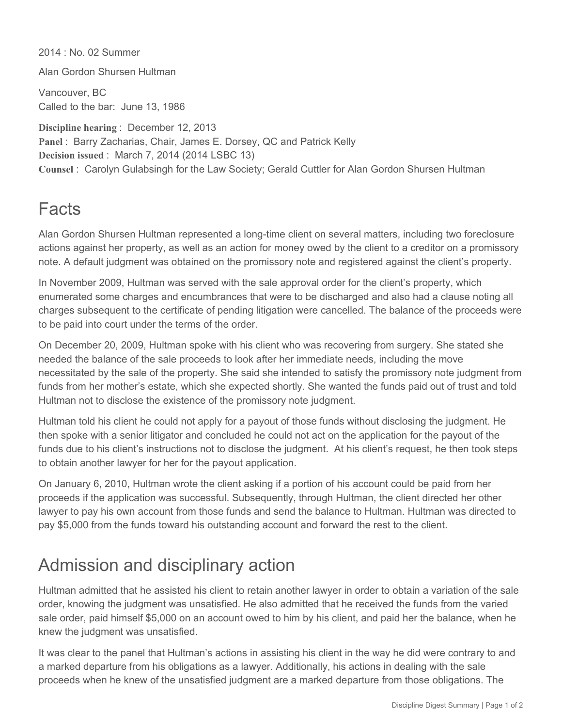2014 : No. 02 Summer Alan Gordon Shursen Hultman Vancouver, BC Called to the bar: June 13, 1986 **Discipline hearing** : December 12, 2013 **Panel** : Barry Zacharias, Chair, James E. Dorsey, QC and Patrick Kelly

**Decision issued** : March 7, 2014 (2014 LSBC 13) **Counsel** : Carolyn Gulabsingh for the Law Society; Gerald Cuttler for Alan Gordon Shursen Hultman

## Facts

Alan Gordon Shursen Hultman represented a long-time client on several matters, including two foreclosure actions against her property, as well as an action for money owed by the client to a creditor on a promissory note. A default judgment was obtained on the promissory note and registered against the client's property.

In November 2009, Hultman was served with the sale approval order for the client's property, which enumerated some charges and encumbrances that were to be discharged and also had a clause noting all charges subsequent to the certificate of pending litigation were cancelled. The balance of the proceeds were to be paid into court under the terms of the order.

On December 20, 2009, Hultman spoke with his client who was recovering from surgery. She stated she needed the balance of the sale proceeds to look after her immediate needs, including the move necessitated by the sale of the property. She said she intended to satisfy the promissory note judgment from funds from her mother's estate, which she expected shortly. She wanted the funds paid out of trust and told Hultman not to disclose the existence of the promissory note judgment.

Hultman told his client he could not apply for a payout of those funds without disclosing the judgment. He then spoke with a senior litigator and concluded he could not act on the application for the payout of the funds due to his client's instructions not to disclose the judgment. At his client's request, he then took steps to obtain another lawyer for her for the payout application.

On January 6, 2010, Hultman wrote the client asking if a portion of his account could be paid from her proceeds if the application was successful. Subsequently, through Hultman, the client directed her other lawyer to pay his own account from those funds and send the balance to Hultman. Hultman was directed to pay \$5,000 from the funds toward his outstanding account and forward the rest to the client.

## Admission and disciplinary action

Hultman admitted that he assisted his client to retain another lawyer in order to obtain a variation of the sale order, knowing the judgment was unsatisfied. He also admitted that he received the funds from the varied sale order, paid himself \$5,000 on an account owed to him by his client, and paid her the balance, when he knew the judgment was unsatisfied.

It was clear to the panel that Hultman's actions in assisting his client in the way he did were contrary to and a marked departure from his obligations as a lawyer. Additionally, his actions in dealing with the sale proceeds when he knew of the unsatisfied judgment are a marked departure from those obligations. The